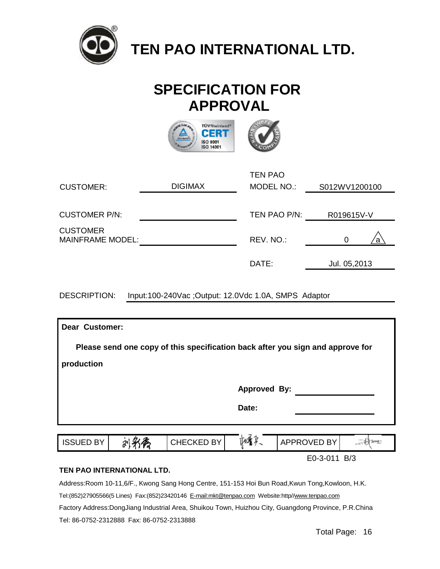

 **TEN PAO INTERNATIONAL LTD.**

# **SPECIFICATION FOR APPROVAL**



|                                            |                | <b>TEN PAO</b> |                |
|--------------------------------------------|----------------|----------------|----------------|
| <b>CUSTOMER:</b>                           | <b>DIGIMAX</b> | MODEL NO.:     | S012WV1200100  |
|                                            |                |                |                |
| <b>CUSTOMER P/N:</b>                       |                | TEN PAO P/N:   | R019615V-V     |
| <b>CUSTOMER</b><br><b>MAINFRAME MODEL:</b> |                | REV. NO.:      | $\Omega$<br>a. |
|                                            |                | DATE:          | Jul. 05,2013   |

DESCRIPTION: Input:100-240Vac ;Output: 12.0Vdc 1.0A, SMPS Adaptor

| <b>Dear Customer:</b>                                                          |  |            |                     |              |         |  |  |  |
|--------------------------------------------------------------------------------|--|------------|---------------------|--------------|---------|--|--|--|
| Please send one copy of this specification back after you sign and approve for |  |            |                     |              |         |  |  |  |
| production                                                                     |  |            |                     |              |         |  |  |  |
|                                                                                |  |            | <b>Approved By:</b> |              |         |  |  |  |
|                                                                                |  |            | Date:               |              |         |  |  |  |
|                                                                                |  |            |                     |              |         |  |  |  |
| <b>ISSUED BY</b>                                                               |  | CHECKED BY |                     | APPROVED BY  | l terri |  |  |  |
| TEN DAO INTEDNIATIONAL LTD                                                     |  |            |                     | E0-3-011 B/3 |         |  |  |  |

#### **TEN PAO INTERNATIONAL LTD.**

Address:Room 10-11,6/F., Kwong Sang Hong Centre, 151-153 Hoi Bun Road,Kwun Tong,Kowloon, H.K.

Tel:(852)27905566(5 Lines) Fax:(852)23420146 [E-mail:mkt@tenpao.com](mailto:E-mail:mkt@tenpao.com) Website:http/[/www.tenpao.com](http://www.tenpao.com)

Factory Address:DongJiang Industrial Area, Shuikou Town, Huizhou City, Guangdong Province, P.R.China Tel: 86-0752-2312888 Fax: 86-0752-2313888

Total Page: 16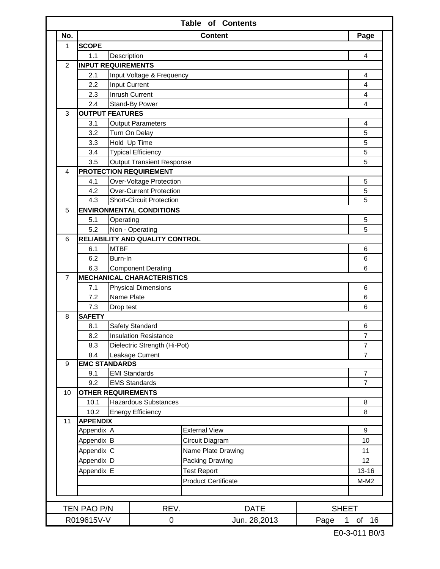|                |                                   |                                                                         |                                                  |                            | <b>Table of Contents</b> |                      |                 |  |  |
|----------------|-----------------------------------|-------------------------------------------------------------------------|--------------------------------------------------|----------------------------|--------------------------|----------------------|-----------------|--|--|
| No.            |                                   |                                                                         |                                                  |                            | <b>Content</b>           |                      | Page            |  |  |
| 1              | <b>SCOPE</b>                      |                                                                         |                                                  |                            |                          |                      |                 |  |  |
|                | 1.1                               | Description                                                             |                                                  |                            |                          |                      | 4               |  |  |
| $\overline{2}$ | <b>INPUT REQUIREMENTS</b>         |                                                                         |                                                  |                            |                          |                      |                 |  |  |
|                | 2.1                               |                                                                         | Input Voltage & Frequency                        |                            |                          |                      | 4               |  |  |
|                | 2.2                               |                                                                         | Input Current                                    |                            |                          |                      | 4               |  |  |
|                | 2.3                               |                                                                         | Inrush Current                                   |                            |                          |                      | 4               |  |  |
|                | 2.4                               |                                                                         | Stand-By Power                                   |                            |                          |                      | 4               |  |  |
| 3              | <b>OUTPUT FEATURES</b>            |                                                                         |                                                  |                            |                          |                      |                 |  |  |
|                | 3.1                               |                                                                         | <b>Output Parameters</b>                         |                            |                          |                      | 4               |  |  |
|                | 3.2                               |                                                                         | Turn On Delay                                    |                            |                          |                      | 5               |  |  |
|                | 3.3                               | Hold Up Time<br><b>Typical Efficiency</b>                               |                                                  |                            |                          |                      | 5               |  |  |
|                | 3.4                               |                                                                         |                                                  |                            |                          |                      | 5<br>5          |  |  |
|                | 3.5                               | <b>Output Transient Response</b><br><b>PROTECTION REQUIREMENT</b>       |                                                  |                            |                          |                      |                 |  |  |
| 4              |                                   |                                                                         |                                                  |                            |                          |                      |                 |  |  |
|                |                                   | 4.1<br>Over-Voltage Protection<br><b>Over-Current Protection</b><br>4.2 |                                                  |                            |                          | 5<br>5               |                 |  |  |
|                | 4.3                               |                                                                         |                                                  |                            |                          |                      | 5               |  |  |
| 5              |                                   | <b>Short-Circuit Protection</b><br><b>ENVIRONMENTAL CONDITIONS</b>      |                                                  |                            |                          |                      |                 |  |  |
|                | 5.1                               | Operating                                                               |                                                  |                            |                          |                      | 5               |  |  |
|                | 5.2                               |                                                                         | Non - Operating                                  |                            |                          |                      | 5               |  |  |
| 6              |                                   | RELIABILITY AND QUALITY CONTROL                                         |                                                  |                            |                          |                      |                 |  |  |
|                | 6.1                               | <b>MTBF</b>                                                             |                                                  |                            |                          |                      | 6               |  |  |
|                | 6.2                               | Burn-In                                                                 |                                                  |                            |                          |                      | 6               |  |  |
|                | 6.3                               |                                                                         | <b>Component Derating</b>                        |                            |                          |                      | 6               |  |  |
| $\overline{7}$ |                                   |                                                                         | <b>MECHANICAL CHARACTERISTICS</b>                |                            |                          |                      |                 |  |  |
|                | 7.1                               |                                                                         | <b>Physical Dimensions</b>                       |                            |                          |                      | 6               |  |  |
|                | 7.2                               | Name Plate                                                              |                                                  |                            |                          |                      | 6               |  |  |
|                | 7.3                               | Drop test                                                               |                                                  |                            |                          |                      | 6               |  |  |
| 8              | <b>SAFETY</b>                     |                                                                         |                                                  |                            |                          |                      |                 |  |  |
|                | 8.1                               |                                                                         | Safety Standard                                  |                            |                          |                      | 6               |  |  |
|                | 8.2                               |                                                                         | <b>Insulation Resistance</b>                     |                            |                          |                      | $\overline{7}$  |  |  |
|                | 8.3                               |                                                                         | Dielectric Strength (Hi-Pot)                     |                            |                          |                      | $\overline{7}$  |  |  |
|                | 8.4                               |                                                                         | Leakage Current                                  |                            |                          |                      | $\overline{7}$  |  |  |
| 9              | <b>EMC STANDARDS</b>              |                                                                         |                                                  |                            |                          |                      |                 |  |  |
|                | 9.1                               |                                                                         | <b>EMI Standards</b>                             |                            |                          |                      | 7               |  |  |
|                | 9.2                               |                                                                         | <b>EMS Standards</b>                             |                            |                          |                      | $\overline{7}$  |  |  |
| 10             | <b>OTHER REQUIREMENTS</b><br>10.1 |                                                                         |                                                  |                            |                          |                      | 8               |  |  |
|                | 10.2                              |                                                                         | Hazardous Substances<br><b>Energy Efficiency</b> |                            |                          |                      | 8               |  |  |
| 11             | <b>APPENDIX</b>                   |                                                                         |                                                  |                            |                          |                      |                 |  |  |
|                | Appendix A                        |                                                                         |                                                  | <b>External View</b>       |                          |                      | 9               |  |  |
|                | Appendix B                        |                                                                         |                                                  | Circuit Diagram            |                          |                      | 10              |  |  |
|                | Appendix C                        |                                                                         |                                                  |                            | Name Plate Drawing       |                      | 11              |  |  |
|                | Appendix D                        |                                                                         |                                                  | Packing Drawing            |                          |                      | 12 <sup>°</sup> |  |  |
|                | Appendix E                        |                                                                         |                                                  | <b>Test Report</b>         |                          |                      | $13 - 16$       |  |  |
|                |                                   |                                                                         |                                                  | <b>Product Certificate</b> |                          |                      | $M-M2$          |  |  |
|                |                                   |                                                                         |                                                  |                            |                          |                      |                 |  |  |
|                |                                   |                                                                         |                                                  |                            |                          |                      |                 |  |  |
|                | TEN PAO P/N                       |                                                                         | REV.                                             |                            | <b>DATE</b>              | <b>SHEET</b>         |                 |  |  |
|                | R019615V-V                        |                                                                         | 0                                                |                            | Jun. 28,2013             | Page<br>$\mathbf{1}$ | of 16           |  |  |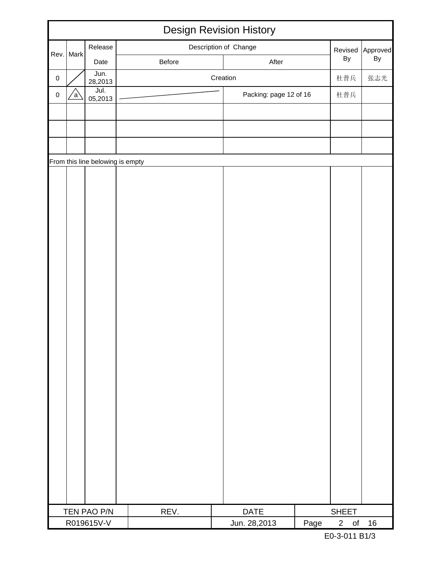|           |      |                                  |  |        | <b>Design Revision History</b> |          |                             |       |      |                             |           |          |
|-----------|------|----------------------------------|--|--------|--------------------------------|----------|-----------------------------|-------|------|-----------------------------|-----------|----------|
|           |      | Release                          |  |        | Description of Change          |          |                             |       |      | Revised                     |           | Approved |
| Rev.      | Mark | Date                             |  | Before |                                |          |                             | After |      | By                          |           | By       |
| $\pmb{0}$ |      | Jun.<br>28,2013                  |  |        |                                | Creation |                             |       |      | 杜普兵                         |           | 张志光      |
| $\pmb{0}$ | a    | Jul.<br>05,2013                  |  |        |                                |          | Packing: page 12 of 16      |       |      | 杜普兵                         |           |          |
|           |      |                                  |  |        |                                |          |                             |       |      |                             |           |          |
|           |      |                                  |  |        |                                |          |                             |       |      |                             |           |          |
|           |      |                                  |  |        |                                |          |                             |       |      |                             |           |          |
|           |      | From this line belowing is empty |  |        |                                |          |                             |       |      |                             |           |          |
|           |      |                                  |  |        |                                |          |                             |       |      |                             |           |          |
|           |      |                                  |  |        |                                |          |                             |       |      |                             |           |          |
|           |      |                                  |  |        |                                |          |                             |       |      |                             |           |          |
|           |      |                                  |  |        |                                |          |                             |       |      |                             |           |          |
|           |      |                                  |  |        |                                |          |                             |       |      |                             |           |          |
|           |      |                                  |  |        |                                |          |                             |       |      |                             |           |          |
|           |      |                                  |  |        |                                |          |                             |       |      |                             |           |          |
|           |      |                                  |  |        |                                |          |                             |       |      |                             |           |          |
|           |      |                                  |  |        |                                |          |                             |       |      |                             |           |          |
|           |      |                                  |  |        |                                |          |                             |       |      |                             |           |          |
|           |      |                                  |  |        |                                |          |                             |       |      |                             |           |          |
|           |      |                                  |  |        |                                |          |                             |       |      |                             |           |          |
|           |      |                                  |  |        |                                |          |                             |       |      |                             |           |          |
|           |      |                                  |  |        |                                |          |                             |       |      |                             |           |          |
|           |      |                                  |  |        |                                |          |                             |       |      |                             |           |          |
|           |      |                                  |  |        |                                |          |                             |       |      |                             |           |          |
|           |      |                                  |  |        |                                |          |                             |       |      |                             |           |          |
|           |      |                                  |  |        |                                |          |                             |       |      |                             |           |          |
|           |      |                                  |  |        |                                |          |                             |       |      |                             |           |          |
|           |      |                                  |  |        |                                |          |                             |       |      |                             |           |          |
|           |      |                                  |  |        |                                |          |                             |       |      |                             |           |          |
|           |      |                                  |  |        |                                |          |                             |       |      |                             |           |          |
|           |      | TEN PAO P/N<br>R019615V-V        |  | REV.   |                                |          | <b>DATE</b><br>Jun. 28,2013 |       | Page | <b>SHEET</b><br>$2^{\circ}$ | $\circ$ f | 16       |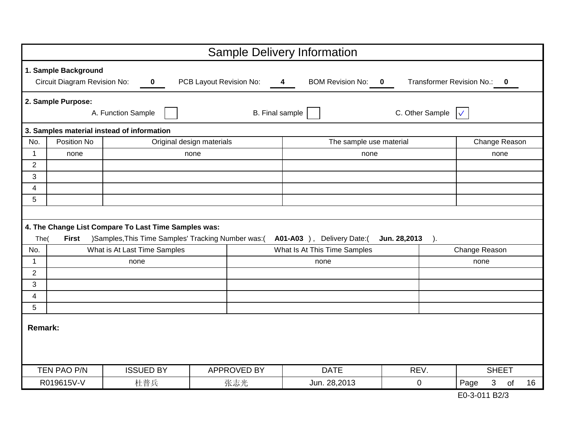|                |                                                      |                                                      |                           | <b>Sample Delivery Information</b>                 |                         |                                       |  |  |  |
|----------------|------------------------------------------------------|------------------------------------------------------|---------------------------|----------------------------------------------------|-------------------------|---------------------------------------|--|--|--|
|                | 1. Sample Background<br>Circuit Diagram Revision No: | $\mathbf 0$                                          | PCB Layout Revision No:   | <b>BOM Revision No:</b><br>$\overline{\mathbf{4}}$ | $\bf{0}$                | Transformer Revision No.:<br>$\bf{0}$ |  |  |  |
|                | 2. Sample Purpose:                                   | A. Function Sample                                   |                           | <b>B.</b> Final sample                             | C. Other Sample         | $\sqrt{}$                             |  |  |  |
|                |                                                      | 3. Samples material instead of information           |                           |                                                    |                         |                                       |  |  |  |
| No.            | Position No                                          |                                                      | Original design materials | The sample use material                            |                         | Change Reason                         |  |  |  |
| $\mathbf 1$    | none                                                 |                                                      | none                      | none                                               |                         | none                                  |  |  |  |
| $\overline{2}$ |                                                      |                                                      |                           |                                                    |                         |                                       |  |  |  |
| 3              |                                                      |                                                      |                           |                                                    |                         |                                       |  |  |  |
| 4              |                                                      |                                                      |                           |                                                    |                         |                                       |  |  |  |
| 5              |                                                      |                                                      |                           |                                                    |                         |                                       |  |  |  |
|                |                                                      |                                                      |                           |                                                    |                         |                                       |  |  |  |
|                |                                                      | 4. The Change List Compare To Last Time Samples was: |                           |                                                    |                         |                                       |  |  |  |
| The(           | <b>First</b>                                         | )Samples, This Time Samples' Tracking Number was:(   |                           | A01-A03 ), Delivery Date:(                         | Jun. 28,2013<br>$\cdot$ |                                       |  |  |  |
| No.            |                                                      | What is At Last Time Samples                         |                           | What Is At This Time Samples                       |                         | Change Reason                         |  |  |  |
| $\mathbf{1}$   |                                                      | none                                                 |                           | none                                               |                         | none                                  |  |  |  |
| $\overline{2}$ |                                                      |                                                      |                           |                                                    |                         |                                       |  |  |  |
| 3              |                                                      |                                                      |                           |                                                    |                         |                                       |  |  |  |
| 4              |                                                      |                                                      |                           |                                                    |                         |                                       |  |  |  |
| 5              |                                                      |                                                      |                           |                                                    |                         |                                       |  |  |  |
| <b>Remark:</b> |                                                      |                                                      |                           |                                                    |                         |                                       |  |  |  |
|                | TEN PAO P/N                                          | <b>ISSUED BY</b>                                     | <b>APPROVED BY</b>        | <b>DATE</b>                                        | REV.                    | <b>SHEET</b>                          |  |  |  |
|                | R019615V-V                                           | 杜普兵                                                  | 张志光                       | Jun. 28,2013                                       | $\mathbf 0$             | 3<br>Page<br>16<br>of                 |  |  |  |

E0-3-011 B2/3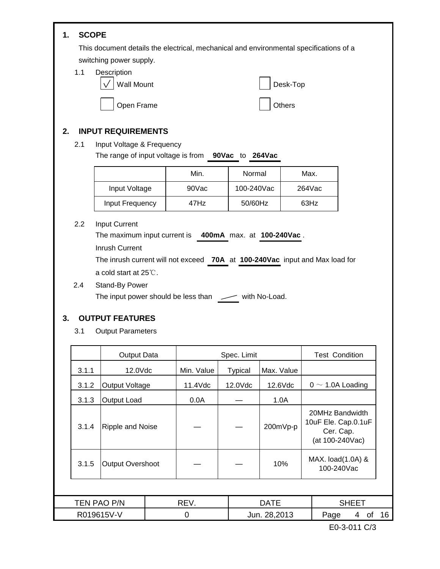### **SCOPE 1.**

This document details the electrical, mechanical and environmental specifications of a switching power supply.

Description 1.1



### **INPUT REQUIREMENTS 2.**

Input Voltage & Frequency 2.1

The range of input voltage is from to **90Vac 264Vac**

|                 | Min.  | Normal     | Max.      |
|-----------------|-------|------------|-----------|
| Input Voltage   | 90Vac | 100-240Vac | $264$ Vac |
| Input Frequency | 47Hz  | 50/60Hz    | 63Hz      |

Input Current 2.2

The maximum input current is 400mA max. at 100-240Vac.

Inrush Current

The inrush current will not exceed 70A at 100-240Vac input and Max load for a cold start at 25℃.

2.4 Stand-By Power The input power should be less than  $\sqrt{ }$  with No-Load.

### **OUTPUT FEATURES 3.**

Output Parameters 3.1

|             | Output Data             |            | Spec. Limit    | <b>Test Condition</b>                                                  |                                 |    |  |
|-------------|-------------------------|------------|----------------|------------------------------------------------------------------------|---------------------------------|----|--|
| 3.1.1       | 12.0Vdc                 | Min. Value | <b>Typical</b> | Max. Value                                                             |                                 |    |  |
| 3.1.2       | Output Voltage          | 11.4Vdc    | 12.0Vdc        | 12.6Vdc                                                                | $0 \sim 1.0$ A Loading          |    |  |
| 3.1.3       | Output Load             | 0.0A       |                | 1.0A                                                                   |                                 |    |  |
| 3.1.4       | <b>Ripple and Noise</b> | 200mVp-p   |                | 20MHz Bandwidth<br>10uF Ele. Cap.0.1uF<br>Cer. Cap.<br>(at 100-240Vac) |                                 |    |  |
| 3.1.5       | <b>Output Overshoot</b> |            |                | 10%                                                                    | MAX. load(1.0A) &<br>100-240Vac |    |  |
|             |                         |            |                |                                                                        |                                 |    |  |
| TEN PAO P/N |                         | REV.       |                | <b>DATE</b>                                                            | <b>SHEET</b>                    |    |  |
| R019615V-V  |                         | 0          |                | Jun. 28,2013                                                           | Page<br>οf<br>4                 | 16 |  |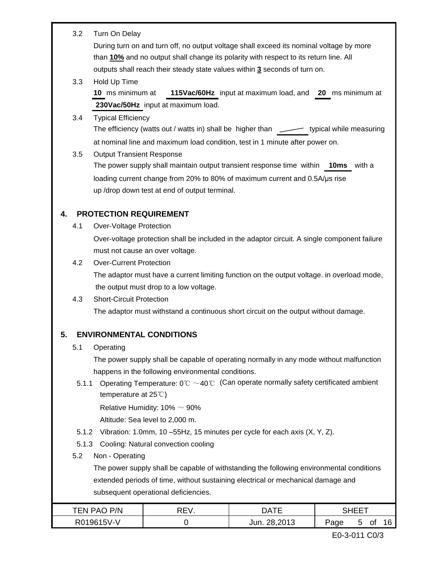|    | 3.2   | Turn On Delay                    |                                                    |                                                                                                                      |              |
|----|-------|----------------------------------|----------------------------------------------------|----------------------------------------------------------------------------------------------------------------------|--------------|
|    |       |                                  |                                                    | During turn on and turn off, no output voltage shall exceed its nominal voltage by more                              |              |
|    |       |                                  |                                                    | than 10% and no output shall change its polarity with respect to its return line. All                                |              |
|    |       |                                  |                                                    | outputs shall reach their steady state values within 3 seconds of turn on.                                           |              |
|    | 3.3   | Hold Up Time                     |                                                    |                                                                                                                      |              |
|    |       | 10 ms minimum at                 |                                                    | 115Vac/60Hz input at maximum load, and 20 ms minimum at                                                              |              |
|    |       |                                  | 230Vac/50Hz input at maximum load.                 |                                                                                                                      |              |
|    | 3.4   | <b>Typical Efficiency</b>        |                                                    |                                                                                                                      |              |
|    |       |                                  |                                                    | The efficiency (watts out / watts in) shall be higher than $\overline{\phantom{a}}$ typical while measuring          |              |
|    |       |                                  |                                                    | at nominal line and maximum load condition, test in 1 minute after power on.                                         |              |
|    | 3.5   | <b>Output Transient Response</b> |                                                    |                                                                                                                      |              |
|    |       |                                  |                                                    | The power supply shall maintain output transient response time within <b>10ms</b> with a                             |              |
|    |       |                                  |                                                    | loading current change from 20% to 80% of maximum current and 0.5A/us rise                                           |              |
|    |       |                                  | up /drop down test at end of output terminal.      |                                                                                                                      |              |
| 4. |       | <b>PROTECTION REQUIREMENT</b>    |                                                    |                                                                                                                      |              |
|    | 4.1   | <b>Over-Voltage Protection</b>   |                                                    |                                                                                                                      |              |
|    |       |                                  |                                                    | Over-voltage protection shall be included in the adaptor circuit. A single component failure                         |              |
|    |       |                                  | must not cause an over voltage.                    |                                                                                                                      |              |
|    | 4.2   | <b>Over-Current Protection</b>   |                                                    |                                                                                                                      |              |
|    |       |                                  |                                                    | The adaptor must have a current limiting function on the output voltage. in overload mode,                           |              |
|    |       |                                  | the output must drop to a low voltage.             |                                                                                                                      |              |
|    | 4.3   | <b>Short-Circuit Protection</b>  |                                                    |                                                                                                                      |              |
|    |       |                                  |                                                    | The adaptor must withstand a continuous short circuit on the output without damage.                                  |              |
|    |       |                                  |                                                    |                                                                                                                      |              |
| 5  |       |                                  | <b>ENVIRONMENTAL CONDITIONS</b>                    |                                                                                                                      |              |
|    | 5.1   | Operating                        |                                                    |                                                                                                                      |              |
|    |       |                                  |                                                    | The power supply shall be capable of operating normally in any mode without malfunction                              |              |
|    |       |                                  | happens in the following environmental conditions. |                                                                                                                      |              |
|    | 5.1.1 | temperature at $25^{\circ}$      |                                                    | Operating Temperature: $0^{\circ}\text{C} \sim 40^{\circ}\text{C}$ (Can operate normally safety certificated ambient |              |
|    |       |                                  | Relative Humidity: $10\% \sim 90\%$                |                                                                                                                      |              |
|    |       |                                  | Altitude: Sea level to 2,000 m.                    |                                                                                                                      |              |
|    | 5.1.2 |                                  |                                                    | Vibration: 1.0mm, 10 -55Hz, 15 minutes per cycle for each axis (X, Y, Z).                                            |              |
|    |       |                                  | 5.1.3 Cooling: Natural convection cooling          |                                                                                                                      |              |
|    | 5.2   | Non - Operating                  |                                                    |                                                                                                                      |              |
|    |       |                                  |                                                    | The power supply shall be capable of withstanding the following environmental conditions                             |              |
|    |       |                                  |                                                    | extended periods of time, without sustaining electrical or mechanical damage and                                     |              |
|    |       |                                  | subsequent operational deficiencies.               |                                                                                                                      |              |
|    |       | TEN PAO P/N                      | REV.                                               | <b>DATE</b>                                                                                                          | <b>SHEET</b> |

| TEN PAO P/N | ١⊏۱. | <b>DATF</b>  |      | HEET |    |  |
|-------------|------|--------------|------|------|----|--|
| R019615V-V  |      | Jun. 28,2013 | Page |      | Οt |  |
|             |      |              |      |      |    |  |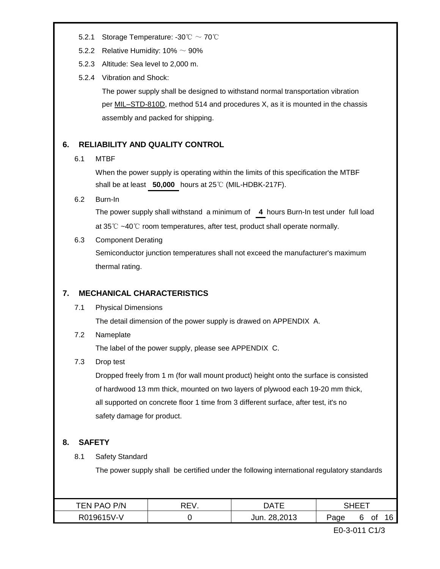- 5.2.1 Storage Temperature: -30℃ ~ 70℃
- 5.2.2 Relative Humidity:  $10\% \sim 90\%$
- 5.2.3 Altitude: Sea level to 2,000 m.
- 5.2.4 Vibration and Shock:

The power supply shall be designed to withstand normal transportation vibration per MIL–STD-810D, method 514 and procedures X, as it is mounted in the chassis assembly and packed for shipping.

#### **RELIABILITY AND QUALITY CONTROL 6.**

#### MTBF 6.1

When the power supply is operating within the limits of this specification the MTBF shall be at least 50,000 hours at 25℃ (MIL-HDBK-217F).

Burn-In 6.2

> The power supply shall withstand a minimum of **4** hours Burn-In test under full load at 35℃ ~40℃ room temperatures, after test, product shall operate normally.

Component Derating 6.3

> Semiconductor junction temperatures shall not exceed the manufacturer's maximum thermal rating.

#### **MECHANICAL CHARACTERISTICS 7.**

Physical Dimensions 7.1

The detail dimension of the power supply is drawed on APPENDIX A.

Nameplate 7.2

The label of the power supply, please see APPENDIX C.

Drop test 7.3

> Dropped freely from 1 m (for wall mount product) height onto the surface is consisted of hardwood 13 mm thick, mounted on two layers of plywood each 19-20 mm thick, all supported on concrete floor 1 time from 3 different surface, after test, it's no safety damage for product.

#### **SAFETY 8.**

Safety Standard 8.1

The power supply shall be certified under the following international regulatory standards

| P/N<br>ו∆ש<br>ьM        | – – | ٦Δ.                    |           |  |    |               |
|-------------------------|-----|------------------------|-----------|--|----|---------------|
| 15\/_\<br>.1961<br>∵0∨. |     | פומפ ספ<br>Jun.<br>◡੶◡ | מממי<br>◡ |  | Οt | $\sim$<br>ำ ๒ |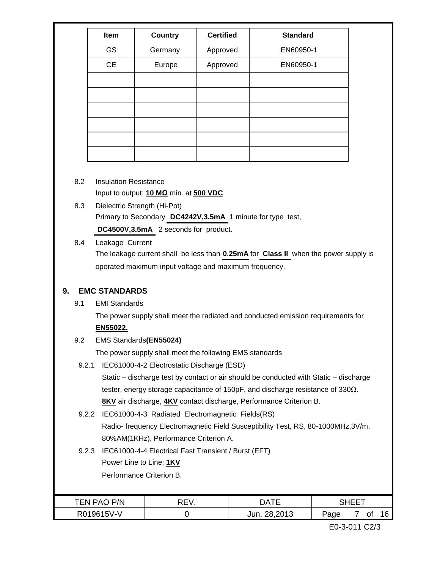| Item      | <b>Country</b> | <b>Certified</b> | <b>Standard</b> |
|-----------|----------------|------------------|-----------------|
| GS        | Germany        | Approved         | EN60950-1       |
| <b>CE</b> | Europe         | Approved         | EN60950-1       |
|           |                |                  |                 |
|           |                |                  |                 |
|           |                |                  |                 |
|           |                |                  |                 |
|           |                |                  |                 |
|           |                |                  |                 |

- Insulation Resistance Input to output: **10 MΩ** min. at **500 VDC**. 8.2
- Dielectric Strength (Hi-Pot) Primary to Secondary DC4242V, 3.5mA 1 minute for type test, DC4500V,3.5mA 2 seconds for product. 8.3
- Leakage Current 8.4

The leakage current shall be less than **0.25mA** for **Class II** when the power supply is operated maximum input voltage and maximum frequency.

#### **EMC STANDARDS 9.**

EMI Standards 9.1

> The power supply shall meet the radiated and conducted emission requirements for **EN55022.**

EMS Standards**(EN55024)** 9.2

The power supply shall meet the following EMS standards

9.2.1 IEC61000-4-2 Electrostatic Discharge (ESD)

Static – discharge test by contact or air should be conducted with Static – discharge tester, energy storage capacitance of 150pF, and discharge resistance of 330Ω. **8KV** air discharge, **4KV** contact discharge, Performance Criterion B.

- 9.2.2 IEC61000-4-3 Radiated Electromagnetic Fields(RS) Radio- frequency Electromagnetic Field Susceptibility Test, RS, 80-1000MHz,3V/m, 80%AM(1KHz), Performance Criterion A.
- 9.2.3 IEC61000-4-4 Electrical Fast Transient / Burst (EFT)

Power Line to Line: **1KV**

Performance Criterion B.

| P/N<br>'EN PAC | …ר−<br>► \<br>ν.<br>╰└ | DA             | --   |  |    |        |
|----------------|------------------------|----------------|------|--|----|--------|
| R019615V-V     |                        | 28.201<br>Jun. | Page |  | оt | $\sim$ |

E0-3-011 C2/3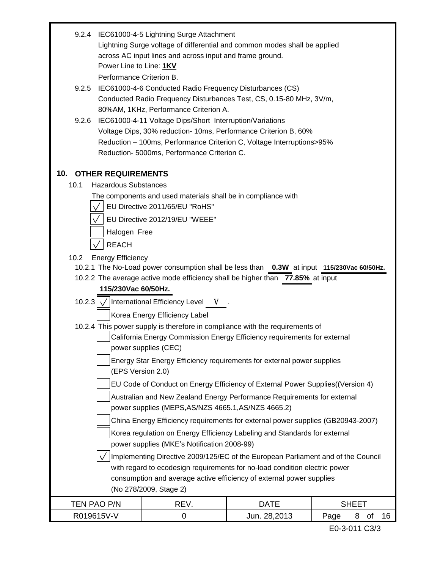|                                             | 9.2.4 IEC61000-4-5 Lightning Surge Attachment<br>Lightning Surge voltage of differential and common modes shall be applied<br>across AC input lines and across input and frame ground. |              |                    |  |  |  |  |  |
|---------------------------------------------|----------------------------------------------------------------------------------------------------------------------------------------------------------------------------------------|--------------|--------------------|--|--|--|--|--|
|                                             | Power Line to Line: 1KV                                                                                                                                                                |              |                    |  |  |  |  |  |
|                                             | Performance Criterion B.                                                                                                                                                               |              |                    |  |  |  |  |  |
| 9.2.5                                       | IEC61000-4-6 Conducted Radio Frequency Disturbances (CS)                                                                                                                               |              |                    |  |  |  |  |  |
|                                             | Conducted Radio Frequency Disturbances Test, CS, 0.15-80 MHz, 3V/m,<br>80%AM, 1KHz, Performance Criterion A.                                                                           |              |                    |  |  |  |  |  |
| 9.2.6                                       | IEC61000-4-11 Voltage Dips/Short Interruption/Variations                                                                                                                               |              |                    |  |  |  |  |  |
|                                             | Voltage Dips, 30% reduction- 10ms, Performance Criterion B, 60%                                                                                                                        |              |                    |  |  |  |  |  |
|                                             | Reduction - 100ms, Performance Criterion C, Voltage Interruptions>95%                                                                                                                  |              |                    |  |  |  |  |  |
|                                             | Reduction- 5000ms, Performance Criterion C.                                                                                                                                            |              |                    |  |  |  |  |  |
| <b>10. OTHER REQUIREMENTS</b>               |                                                                                                                                                                                        |              |                    |  |  |  |  |  |
| <b>Hazardous Substances</b><br>10.1         |                                                                                                                                                                                        |              |                    |  |  |  |  |  |
|                                             | The components and used materials shall be in compliance with                                                                                                                          |              |                    |  |  |  |  |  |
|                                             | EU Directive 2011/65/EU "RoHS"                                                                                                                                                         |              |                    |  |  |  |  |  |
|                                             | EU Directive 2012/19/EU "WEEE"                                                                                                                                                         |              |                    |  |  |  |  |  |
| Halogen Free                                |                                                                                                                                                                                        |              |                    |  |  |  |  |  |
| <b>REACH</b>                                |                                                                                                                                                                                        |              |                    |  |  |  |  |  |
| <b>Energy Efficiency</b><br>10.2            |                                                                                                                                                                                        |              |                    |  |  |  |  |  |
|                                             | 10.2.1 The No-Load power consumption shall be less than 0.3W at input 115/230Vac 60/50Hz.                                                                                              |              |                    |  |  |  |  |  |
|                                             | 10.2.2 The average active mode efficiency shall be higher than 77.85% at input                                                                                                         |              |                    |  |  |  |  |  |
| 115/230Vac 60/50Hz.                         |                                                                                                                                                                                        |              |                    |  |  |  |  |  |
|                                             | 10.2.3 $\sqrt{\text{l}}$ International Efficiency Level V.                                                                                                                             |              |                    |  |  |  |  |  |
|                                             | Korea Energy Efficiency Label                                                                                                                                                          |              |                    |  |  |  |  |  |
|                                             | 10.2.4 This power supply is therefore in compliance with the requirements of                                                                                                           |              |                    |  |  |  |  |  |
|                                             | California Energy Commission Energy Efficiency requirements for external<br>power supplies (CEC)                                                                                       |              |                    |  |  |  |  |  |
|                                             | Energy Star Energy Efficiency requirements for external power supplies                                                                                                                 |              |                    |  |  |  |  |  |
|                                             | (EPS Version 2.0)                                                                                                                                                                      |              |                    |  |  |  |  |  |
|                                             | EU Code of Conduct on Energy Efficiency of External Power Supplies((Version 4)                                                                                                         |              |                    |  |  |  |  |  |
|                                             | Australian and New Zealand Energy Performance Requirements for external                                                                                                                |              |                    |  |  |  |  |  |
|                                             | power supplies (MEPS, AS/NZS 4665.1, AS/NZS 4665.2)                                                                                                                                    |              |                    |  |  |  |  |  |
|                                             | China Energy Efficiency requirements for external power supplies (GB20943-2007)                                                                                                        |              |                    |  |  |  |  |  |
|                                             | Korea regulation on Energy Efficiency Labeling and Standards for external                                                                                                              |              |                    |  |  |  |  |  |
| power supplies (MKE's Notification 2008-99) |                                                                                                                                                                                        |              |                    |  |  |  |  |  |
|                                             | Implementing Directive 2009/125/EC of the European Parliament and of the Council<br>with regard to ecodesign requirements for no-load condition electric power                         |              |                    |  |  |  |  |  |
|                                             | consumption and average active efficiency of external power supplies                                                                                                                   |              |                    |  |  |  |  |  |
|                                             | (No 278/2009, Stage 2)                                                                                                                                                                 |              |                    |  |  |  |  |  |
| TEN PAO P/N                                 | REV.                                                                                                                                                                                   | <b>DATE</b>  | <b>SHEET</b>       |  |  |  |  |  |
| R019615V-V                                  | $\mathbf 0$                                                                                                                                                                            | Jun. 28,2013 | Page<br>8 of<br>16 |  |  |  |  |  |

E0-3-011 C3/3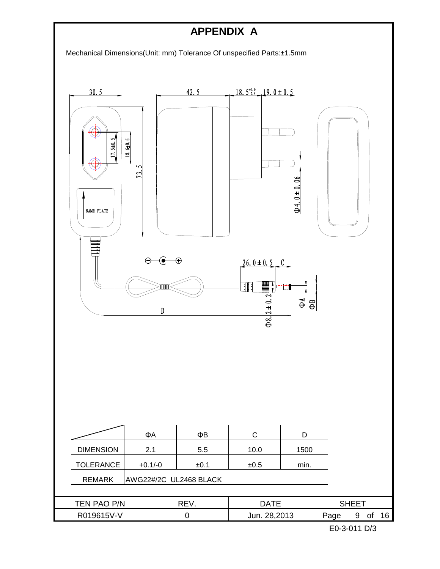## **APPENDIX A**

Mechanical Dimensions(Unit: mm) Tolerance Of unspecified Parts:±1.5mm

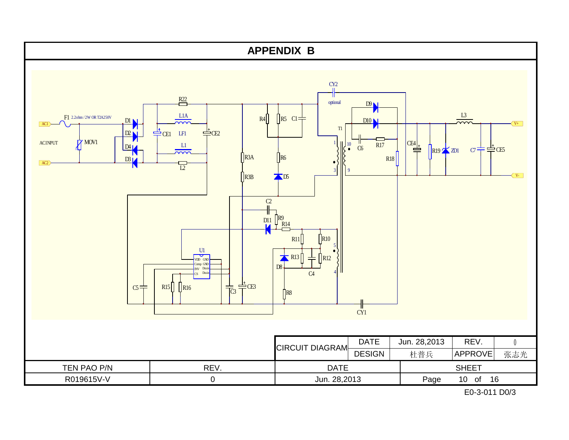

E0-3-011 D0/3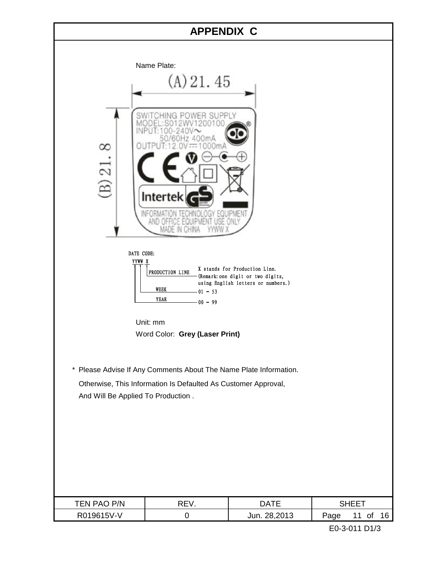## **APPENDIX C**

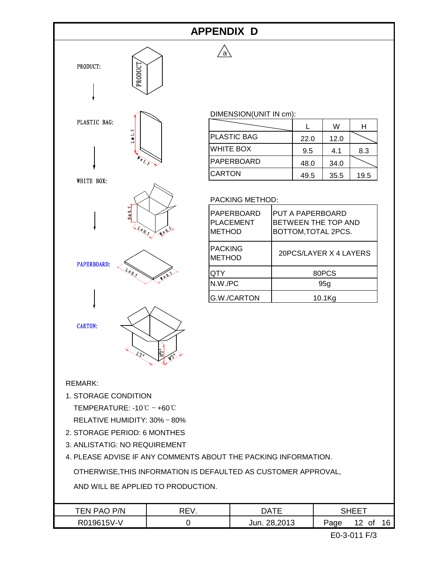## **APPENDIX D**

 $/a$ 



### DIMENSION(UNIT IN cm):

|                    |      | W    |      |
|--------------------|------|------|------|
| <b>PLASTIC BAG</b> | 22.0 | 12.0 |      |
| <b>WHITE BOX</b>   | 9.5  | 4.1  | 8.3  |
| IPAPERBOARD        | 48.0 | 34.0 |      |
| <b>CARTON</b>      | 49.5 | 35.5 | 19.5 |

### PACKING METHOD:

| PAPERBOARD<br><b>PLACEMENT</b><br><b>METHOD</b> | PUT A PAPERBOARD<br>BETWEEN THE TOP AND<br>BOTTOM, TOTAL 2PCS. |
|-------------------------------------------------|----------------------------------------------------------------|
| <b>PACKING</b><br><b>METHOD</b>                 | 20PCS/LAYER X 4 LAYERS                                         |
| QTY                                             | 80PCS                                                          |
| $N.W.$ / $PC$                                   | 95q                                                            |
| <b>G.W./CARTON</b>                              | 10.1Ka                                                         |

### REMARK:

1. STORAGE CONDITION

TEMPERATURE: -10℃~+60℃

RELATIVE HUMIDITY: 30%~80%

- 2. STORAGE PERIOD: 6 MONTHES
- 3. ANLISTATIG: NO REQUIREMENT
- 4. PLEASE ADVISE IF ANY COMMENTS ABOUT THE PACKING INFORMATION.

OTHERWISE,THIS INFORMATION IS DEFAULTED AS CUSTOMER APPROVAL,

AND WILL BE APPLIED TO PRODUCTION.

| P/N<br>'EN PAC | יחס<br>- | NATF         |                                            |  |  |
|----------------|----------|--------------|--------------------------------------------|--|--|
| R019615V-V     |          | Jun. 28,2013 | $^{\circ}$ $\sim$<br>Page<br>12<br>οt<br>u |  |  |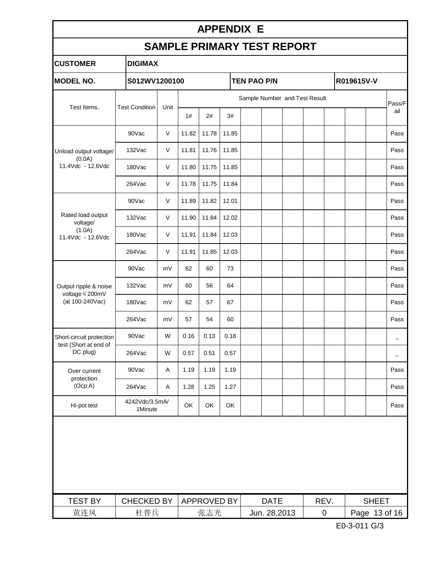## **APPENDIX E**

# **SAMPLE PRIMARY TEST REPORT**

| <b>CUSTOMER</b>                                   | <b>DIGIMAX</b>            |               |       |                               |       |              |             |                    |               |  |              |                          |
|---------------------------------------------------|---------------------------|---------------|-------|-------------------------------|-------|--------------|-------------|--------------------|---------------|--|--------------|--------------------------|
| <b>MODEL NO.</b>                                  |                           | S012WV1200100 |       |                               |       |              |             | <b>TEN PAO P/N</b> |               |  |              |                          |
|                                                   |                           |               |       | Sample Number and Test Result |       |              |             |                    |               |  |              | Pass/F                   |
| Test Items.                                       | <b>Test Condition</b>     | Unit          | 1#    | 2#                            | 3#    |              |             |                    |               |  |              | ail                      |
|                                                   | 90Vac                     | V             | 11.82 | 11.78                         | 11.85 |              |             |                    |               |  |              | Pass                     |
| Unload output voltage/                            | 132Vac                    | V             | 11.81 | 11.76                         | 11.85 |              |             |                    |               |  |              | Pass                     |
| (0.0A)<br>11.4Vdc - 12.6Vdc                       | 180Vac                    | $\vee$        | 11.80 | 11.75                         | 11.85 |              |             |                    |               |  |              | Pass                     |
|                                                   | 264Vac                    | V             | 11.78 | 11.75                         | 11.84 |              |             |                    |               |  |              | Pass                     |
|                                                   | 90Vac                     | V             | 11.89 | 11.82                         | 12.01 |              |             |                    |               |  |              | Pass                     |
| Rated load output<br>voltage/                     | 132Vac                    | $\vee$        | 11.90 | 11.84                         | 12.02 |              |             |                    |               |  |              | Pass                     |
| (1.0A)<br>11.4Vdc - 12.6Vdc                       | 180Vac                    | $\vee$        | 11.91 | 11.84                         | 12.03 |              |             |                    |               |  |              | Pass                     |
|                                                   | $264$ Vac                 | V             | 11.91 | 11.85                         | 12.03 |              |             |                    |               |  |              | Pass                     |
|                                                   | 90Vac                     | mV            | 62    | 60                            | 73    |              |             |                    |               |  |              | Pass                     |
| Output ripple & noise<br>voltage < 200mV          | 132Vac                    | mV            | 60    | 56                            | 64    |              |             |                    |               |  |              | Pass                     |
| (at 100-240Vac)                                   | 180Vac                    | mV            | 62    | 57                            | 67    |              |             |                    |               |  |              | Pass                     |
|                                                   | 264Vac                    | mV            | 57    | 54                            | 60    |              |             |                    |               |  |              | Pass                     |
| Short-circuit protection<br>test (Short at end of | 90Vac                     | W             | 0.16  | 0.13                          | 0.18  |              |             |                    |               |  |              | $\overline{\phantom{0}}$ |
| DC plug)                                          | 264Vac                    | W             | 0.57  | 0.51                          | 0.57  |              |             |                    |               |  |              | $\overline{\phantom{0}}$ |
| Over current<br>protection                        | 90Vac                     | A             | 1.19  | 1.19                          | 1.19  |              |             |                    |               |  |              | Pass                     |
| (Ocp:A)                                           | 264Vac                    | Α             | 1.28  | 1.25                          | 1.27  |              |             |                    |               |  |              | Pass                     |
| Hi-pot test                                       | 4242Vdc/3.5mA/<br>1Minute |               | OK    | OK                            | OK    |              |             |                    |               |  |              | Pass                     |
|                                                   |                           |               |       |                               |       |              |             |                    |               |  |              |                          |
| <b>TEST BY</b>                                    | <b>CHECKED BY</b>         |               |       | APPROVED BY                   |       |              | <b>DATE</b> |                    | REV.          |  | <b>SHEET</b> |                          |
| 黄连凤                                               | 杜普兵                       |               | 张志光   |                               |       | Jun. 28,2013 |             | $\pmb{0}$          | Page 13 of 16 |  |              |                          |

E0-3-011 G/3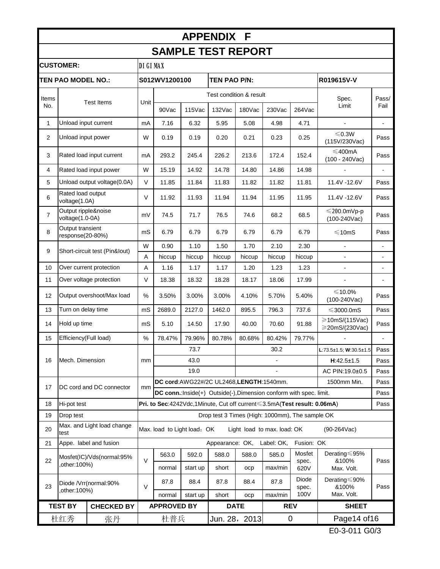#### 90Vac 115Vac 132Vac 180Vac 230Vac 264Vac 1 mA 7.16 6.32 5.95 5.08 4.98 4.71 - - Unload input current <sup>2</sup> <sup>W</sup> 0.19 0.19 0.20 0.21 0.23 0.25 <sup>≤</sup>0.3W Unload input power  $\leq 0.3W$  Pass (115V/230Vac) 3 Rated load input current  $\begin{array}{|c|c|c|c|c|c|c|c|}\n\hline\n3 & \text{Rate} & \text{Number} & \text{Number} & \text{The image shows} \\
\hline\n\end{array}$  and  $\begin{array}{|c|c|c|c|c|c|}\n\hline\n\end{array}$  and  $\begin{array}{|c|c|c|c|c|}\n\hline\n\end{array}$  and  $\begin{array}{|c|c|c|c|}\n\hline\n\end{array}$  and  $\begin{array}{|c|c|c|c|}\n\h$  $\leq 400$ mA<br>(100 - 240Vac) Pass 4 |Rated load input power | W | 15.19 | 14.92 | 14.78 | 14.80 | 14.86 | 14.98 | - | -5 |Unload output voltage(0.0A) | V | 11.85 | 11.84 | 11.83 | 11.82 | 11.82 | 11.81 | 11.4V -12.6V | Pass 6 V 11.92 11.93 11.94 11.94 11.95 11.95 11.4V -12.6V Pass <sup>7</sup> mV 74.5 71.7 76.5 74.6 68.2 68.5 <sup>≤</sup>200.0mVp-p  $\leq$ 200.0mVp-p<br>(100-240Vac) Pass 8 mS 6.79 6.79 6.79 6.79 6.79 6.79 ≤10mS Pass W | 0.90 | 1.10 | 1.50 | 1.70 | 2.10 | 2.30 | | -A | hiccup | hiccup | hiccup | hiccup | hiccup | hiccup | - - - - - | -10 Over current protection  $\begin{array}{|c|c|c|c|c|c|c|c|c|} \hline \end{array}$  A  $\begin{array}{|c|c|c|c|c|c|c|c|} \hline \end{array}$  1.17 | 1.20 | 1.23 |  $\begin{array}{|c|c|c|c|c|c|c|c|} \hline \end{array}$ 11 | Over voltage protection | V | 18.38 | 18.32 | 18.28 | 18.17 | 18.06 | 17.99 | - - - - - | -12 Output overshoot/Max load | % | 3.50% | 3.00% | 3.00% | 4.10% | 5.70% | 5.40% | ≤10.0%  $\leq 10.0\%$  Pass (100-240Vac) 13 |Turn on delay time | mS | 2689.0 | 2127.0 | 1462.0 | 895.5 | 796.3 | 737.6 | ≤3000.0mS | Pass 14 Hold up time  $\begin{vmatrix} \text{ms} \end{vmatrix}$  5.10 | 14.50 | 17.90 | 40.00 | 70.60 | 91.88 | ≥10mS/(115Vac)  $\ge$ 10mS/(115Vac) Pass<br> $\ge$ 20mS/(230Vac) Pass 15 Efficiency(Full load) | % | 78.47% | 79.96% | 80.78% | 80.68% | 80.42% | 79.77% | - -**L**:73.5±1.5; **W**:30.5±1.5 Pass **H**:42.5±1.5 Pass AC PIN:19.0±0.5 Pass 1500mm Min. Pass **DC conn.**:Inside(+) Outside(-),Dimension conform with spec. limit. **Pass** 18 Pass Hi-pot test **Pri. to Sec**:4242Vdc,1Minute, Cut off current≤3.5mA(**Test result: 0.06mA**) 19  $20$ 21 563.0 592.0 588.0 588.0 585.0 normal start up short ocp max/min 87.8 88.4 87.8 88.4 87.8 normal start up short ocp max/min Spec. Limit Rated load output voltage(1.0A) Output ripple&noise voltage(1.0-0A) Output transient response(20-80%) Pass/ Fail **APPENDIX F SAMPLE TEST REPORT CUSTOMER: DIGIMAX TEN PAO MODEL NO.: S012WV1200100 TEN PAO P/N: R019615V-V** Items No. Test Items Unit Test condition & result 9 Short-circuit test (Pin&Iout) Hold up time 16 Mech. Dimension mm 73.7 30.2 43.0 19.0 - 17 DC cord and DC connector mm **DC cord**:AWG22#/2C UL2468,**LENGTH**:1540mm. Drop test Drop test 3 Times (High: 1000mm), The sample OK Max. and Light load change  $t$ est  $\frac{d}{dx}$  Light load onality  $\frac{d}{dx}$  Max. load to Light load: OK Light load to max. load: OK (90-264Vac) Appe. label and fusion **Appearance: OK, Label: OK, Fusion: OK** Pass 22 Mosfet(IC)/Vds(normal:95%  $\frac{1}{\sqrt{2}}$ ,  $\frac{1}{\sqrt{2}}$ ,  $\frac{1}{\sqrt{2}}$ ,  $\frac{1}{\sqrt{2}}$ Mosfet spec. 620V Derating≤95% &100% Max. Volt. Pass 23 Diode /Vrr(normal:90% blode / vin(homidi.so % | V Diode spec. 100V Derating≤90% &100% Max. Volt.

**TEST BY APPROVED BY DATE REV SHEET**

杜红秀 ┃ 张丹 ┃ 杜普兵 ┃Jun. 28,2013┃ 0 ┃ Page14 of16

**CHECKED BY** 张丹

E0-3-011 G0/3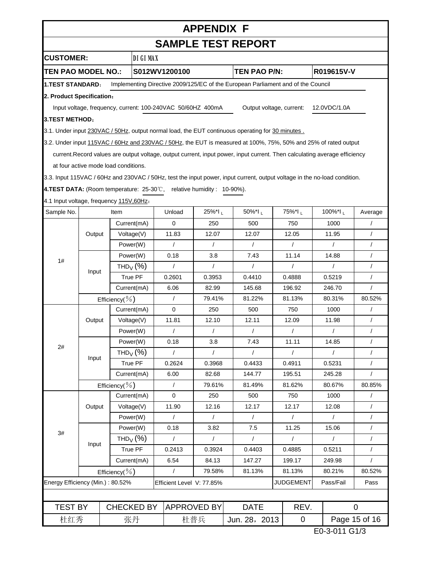# **APPENDIX F**

**SAMPLE TEST REPORT**

|                                                                                       | UAMI LL ILVI I\LI VI\I |                                      |                                   |                                                             |                    |               |                                                                                                                            |                              |                  |              |                      |                        |
|---------------------------------------------------------------------------------------|------------------------|--------------------------------------|-----------------------------------|-------------------------------------------------------------|--------------------|---------------|----------------------------------------------------------------------------------------------------------------------------|------------------------------|------------------|--------------|----------------------|------------------------|
| <b>CUSTOMER:</b>                                                                      |                        |                                      | <b>DIGIMAX</b>                    |                                                             |                    |               |                                                                                                                            |                              |                  |              |                      |                        |
| <b>TEN PAO MODEL NO.:</b>                                                             |                        |                                      | S012WV1200100                     |                                                             |                    |               | TEN PAO P/N:                                                                                                               |                              |                  |              | R019615V-V           |                        |
| <b>1.TEST STANDARD:</b>                                                               |                        |                                      |                                   |                                                             |                    |               | Implementing Directive 2009/125/EC of the European Parliament and of the Council                                           |                              |                  |              |                      |                        |
| 2. Product Specification:                                                             |                        |                                      |                                   |                                                             |                    |               |                                                                                                                            |                              |                  |              |                      |                        |
|                                                                                       |                        |                                      |                                   | Input voltage, frequency, current: 100-240VAC 50/60HZ 400mA |                    |               | Output voltage, current:                                                                                                   |                              |                  | 12.0VDC/1.0A |                      |                        |
|                                                                                       | <b>3.TEST METHOD:</b>  |                                      |                                   |                                                             |                    |               |                                                                                                                            |                              |                  |              |                      |                        |
|                                                                                       |                        |                                      |                                   |                                                             |                    |               | 3.1. Under input 230VAC / 50Hz, output normal load, the EUT continuous operating for 30 minutes.                           |                              |                  |              |                      |                        |
|                                                                                       |                        |                                      |                                   |                                                             |                    |               | 3.2. Under input 115VAC / 60Hz and 230VAC / 50Hz, the EUT is measured at 100%, 75%, 50% and 25% of rated output            |                              |                  |              |                      |                        |
|                                                                                       |                        |                                      |                                   |                                                             |                    |               | current. Record values are output voltage, output current, input power, input current. Then calculating average efficiency |                              |                  |              |                      |                        |
|                                                                                       |                        | at four active mode load conditions. |                                   |                                                             |                    |               |                                                                                                                            |                              |                  |              |                      |                        |
|                                                                                       |                        |                                      |                                   |                                                             |                    |               | 3.3. Input 115VAC / 60Hz and 230VAC / 50Hz, test the input power, input current, output voltage in the no-load condition.  |                              |                  |              |                      |                        |
| <b>4.TEST DATA:</b> (Room temperature: $25-30^{\circ}$ C, relative humidity: 10-90%). |                        |                                      |                                   |                                                             |                    |               |                                                                                                                            |                              |                  |              |                      |                        |
| 4.1 Input voltage, frequency 115V, 60Hz:                                              |                        |                                      |                                   |                                                             |                    |               |                                                                                                                            |                              |                  |              |                      |                        |
| Sample No.                                                                            |                        | Item                                 |                                   | Unload                                                      | 25%*lL             |               | 50%*IL                                                                                                                     |                              | 75%*lL           |              | 100%*lL              | Average                |
|                                                                                       |                        |                                      | Current(mA)                       | 0                                                           | 250                |               | 500                                                                                                                        |                              | 750              |              | 1000                 |                        |
|                                                                                       | Output                 |                                      | Voltage(V)                        | 11.83                                                       | 12.07              |               | 12.07                                                                                                                      |                              | 12.05            |              | 11.95                | $\prime$               |
|                                                                                       |                        |                                      | Power(W)                          | $\prime$                                                    | $\prime$           |               | $\prime$                                                                                                                   |                              | $\prime$         |              | $\prime$             | $\prime$               |
|                                                                                       |                        |                                      | Power(W)                          | 0.18                                                        | 3.8                |               | 7.43                                                                                                                       |                              | 11.14            |              | 14.88                | $\sqrt{ }$             |
| 1#                                                                                    |                        |                                      | THD <sub>V</sub> $(%)$            | $\prime$                                                    | $\prime$           |               | $\prime$                                                                                                                   |                              | $\prime$         |              | $\prime$             | $\prime$               |
|                                                                                       | Input                  |                                      | True PF                           | 0.2601                                                      | 0.3953             |               | 0.4410                                                                                                                     |                              | 0.4888           |              | 0.5219               | $\sqrt{ }$             |
|                                                                                       |                        |                                      | Current(mA)                       | 6.06                                                        | 82.99              |               | 145.68                                                                                                                     |                              | 196.92           |              | 246.70               | $\prime$               |
|                                                                                       | Efficiency( $\%$ )     |                                      |                                   | $\prime$                                                    | 79.41%             |               | 81.22%                                                                                                                     |                              | 81.13%           |              | 80.31%               | 80.52%                 |
|                                                                                       |                        |                                      | Current(mA)                       | 0                                                           | 250                |               | 500                                                                                                                        |                              | 750              |              | 1000                 | $\prime$               |
|                                                                                       | Output                 |                                      | Voltage(V)                        | 11.81                                                       | 12.10              |               | 12.11                                                                                                                      |                              | 12.09            |              | 11.98                | $\sqrt{ }$             |
|                                                                                       |                        |                                      | Power(W)                          | $\prime$                                                    | $\prime$           |               | $\prime$                                                                                                                   |                              | $\prime$         |              | $\sqrt{2}$           | $\prime$               |
| 2#                                                                                    |                        |                                      | Power(W)                          | 0.18                                                        | 3.8                |               | 7.43                                                                                                                       |                              | 11.11            |              | 14.85                | $\sqrt{ }$             |
|                                                                                       | Input                  |                                      | THD <sub>V</sub> $(%)$            | $\prime$                                                    | $\prime$           |               | $\prime$                                                                                                                   |                              | $\prime$         |              | $\prime$             | $\prime$               |
|                                                                                       |                        |                                      | True PF                           | 0.2624                                                      | 0.3968             |               | 0.4433                                                                                                                     |                              | 0.4911           |              | 0.5231               | $\sqrt{2}$             |
|                                                                                       |                        |                                      | Current(mA)                       | 6.00                                                        | 82.68              |               | 144.77                                                                                                                     |                              | 195.51           |              | 245.28               | $\prime$               |
|                                                                                       |                        | Efficiency( $\%$ )                   |                                   | $\prime$                                                    | 79.61%             |               | 81.49%                                                                                                                     |                              | 81.62%           |              | 80.67%               | 80.85%                 |
|                                                                                       |                        |                                      | Current(mA)                       | 0                                                           | 250                |               | 500                                                                                                                        |                              | 750              |              | 1000                 | $\prime$               |
|                                                                                       | Output                 |                                      | Voltage(V)                        | 11.90                                                       | 12.16              |               | 12.17                                                                                                                      |                              | 12.17            |              | 12.08                | $\sqrt{ }$             |
|                                                                                       |                        |                                      | Power(W)                          | $\prime$                                                    | $\prime$           |               | $\prime$                                                                                                                   |                              | $\prime$         |              | $\prime$             | $\prime$               |
| 3#                                                                                    |                        |                                      | Power(W)                          | 0.18                                                        | 3.82               |               | 7.5                                                                                                                        |                              | 11.25            |              | 15.06                | $\prime$               |
|                                                                                       | Input                  |                                      | THD <sub>V</sub> $(%)$<br>True PF | $\prime$<br>0.2413                                          | $\prime$           |               | $\prime$                                                                                                                   |                              | $\prime$         |              | $\sqrt{2}$<br>0.5211 | $\prime$<br>$\sqrt{ }$ |
|                                                                                       |                        |                                      |                                   |                                                             | 0.3924             |               | 0.4403<br>147.27                                                                                                           | 0.4885                       |                  |              | 249.98               |                        |
|                                                                                       | Current(mA)            |                                      |                                   | 6.54<br>84.13<br>$\sqrt{ }$<br>79.58%                       |                    |               |                                                                                                                            | 199.17                       |                  |              | 80.21%               | 80.52%                 |
| Energy Efficiency (Min.): 80.52%                                                      |                        | Efficiency( $\%$ )                   |                                   | Efficient Level V: 77.85%                                   |                    |               | 81.13%<br>81.13%                                                                                                           |                              |                  |              | Pass/Fail            | Pass                   |
|                                                                                       |                        |                                      |                                   |                                                             |                    |               |                                                                                                                            |                              | <b>JUDGEMENT</b> |              |                      |                        |
|                                                                                       |                        |                                      |                                   |                                                             |                    |               |                                                                                                                            |                              |                  |              |                      |                        |
| <b>TEST BY</b>                                                                        |                        |                                      | <b>CHECKED BY</b>                 |                                                             | <b>APPROVED BY</b> |               | <b>DATE</b>                                                                                                                |                              | REV.             | 0            |                      |                        |
| 杜红秀<br>张丹                                                                             |                        |                                      |                                   | 杜普兵                                                         |                    | Jun. 28, 2013 |                                                                                                                            | Page 15 of 16<br>$\mathbf 0$ |                  |              |                      |                        |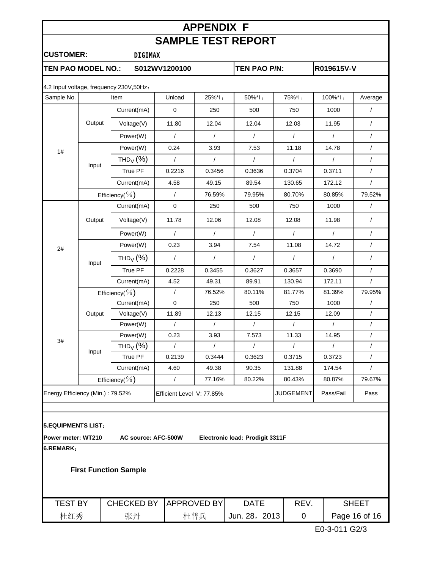# **APPENDIX F SAMPLE TEST REPORT CUSTOMER: DIGIMAX TEN PAO MODEL NO.: S012WV1200100 TEN PAO P/N: R019615V-V**

| Sample No. |                                  | Item                   | Unload                    | 25%*lL     | 50%*IL     | 75%*lL           | 100%*IL    | Average    |
|------------|----------------------------------|------------------------|---------------------------|------------|------------|------------------|------------|------------|
|            |                                  | Current(mA)            | $\mathbf 0$               | 250        | 500        | 750              | 1000       | $\sqrt{ }$ |
|            | Output                           | Voltage(V)             | 11.80                     | 12.04      | 12.04      | 12.03            | 11.95      | $\sqrt{2}$ |
|            |                                  | Power(W)               | $\sqrt{2}$                | $\sqrt{ }$ | $\sqrt{ }$ | $\sqrt{ }$       | $\sqrt{2}$ | $\sqrt{2}$ |
| 1#         |                                  | Power(W)               | 0.24                      | 3.93       | 7.53       | 11.18            | 14.78      | $\sqrt{2}$ |
|            |                                  | THD <sub>V</sub> $(%)$ | $\sqrt{ }$                | $\sqrt{ }$ | $\sqrt{2}$ | $\prime$         | $\sqrt{ }$ | $\sqrt{2}$ |
|            | Input                            | True PF                | 0.2216                    | 0.3456     | 0.3636     | 0.3704           | 0.3711     | $\sqrt{2}$ |
|            |                                  | Current(mA)            | 4.58                      | 49.15      | 89.54      | 130.65           | 172.12     | $\sqrt{2}$ |
|            |                                  | Efficiency( $\%$ )     | $\sqrt{ }$                | 76.59%     | 79.95%     | 80.70%           | 80.85%     | 79.52%     |
|            |                                  | Current(mA)            | $\mathbf 0$               | 250        | 500        | 750              | 1000       | $\sqrt{2}$ |
|            | Output                           | Voltage(V)             | 11.78                     | 12.06      | 12.08      | 12.08            | 11.98      | $\prime$   |
|            |                                  | Power(W)               | $\sqrt{ }$                | $\prime$   | $\prime$   | $\prime$         | $\sqrt{ }$ | $\sqrt{2}$ |
| 2#         |                                  | Power(W)               | 0.23                      | 3.94       | 7.54       | 11.08            | 14.72      | $\sqrt{2}$ |
|            | THD <sub>V</sub> $(%)$<br>Input  |                        | $\sqrt{ }$                | $\sqrt{2}$ | $\sqrt{2}$ | $\sqrt{ }$       | $\sqrt{2}$ | $\sqrt{2}$ |
|            |                                  | True PF                | 0.2228                    | 0.3455     | 0.3627     | 0.3657           | 0.3690     | $\prime$   |
|            |                                  | Current(mA)            | 4.52                      | 49.31      | 89.91      | 130.94           | 172.11     | $\sqrt{ }$ |
|            |                                  | Efficiency( $\%$ )     | $\sqrt{ }$                | 76.52%     | 80.11%     | 81.77%           | 81.39%     | 79.95%     |
|            | Current(mA)                      |                        | $\mathbf 0$               | 250        | 500        | 750              | 1000       | $\prime$   |
|            | Output                           | Voltage(V)             | 11.89                     | 12.13      | 12.15      | 12.15            | 12.09      | $\sqrt{2}$ |
|            |                                  | Power(W)               | $\sqrt{ }$                | $\sqrt{ }$ | $\sqrt{ }$ | $\sqrt{ }$       | $\sqrt{ }$ | $\sqrt{2}$ |
|            |                                  | Power(W)               | 0.23                      | 3.93       | 7.573      | 11.33            | 14.95      | $\sqrt{2}$ |
| 3#         |                                  | THD <sub>V</sub> $(%)$ | $\sqrt{ }$                | $\prime$   | $\prime$   | $\prime$         | $\sqrt{ }$ | $\prime$   |
|            | Input                            | True PF                | 0.2139                    | 0.3444     | 0.3623     | 0.3715           | 0.3723     | $\sqrt{2}$ |
|            |                                  | Current(mA)            | 4.60                      | 49.38      | 90.35      | 131.88           | 174.54     | $\sqrt{ }$ |
|            |                                  | Efficiency( $\%$ )     | $\sqrt{ }$                | 77.16%     | 80.22%     | 80.43%           | 80.87%     | 79.67%     |
|            | Energy Efficiency (Min.): 79.52% |                        | Efficient Level V: 77.85% |            |            | <b>JUDGEMENT</b> | Pass/Fail  | Pass       |
|            |                                  |                        |                           |            |            |                  |            |            |

**Power meter: WT210 AC source: AFC-500W Electronic load: Prodigit 3311F**

**6.REMARK:**

**First Function Sample**

| B١<br>TEST | CHECKED BY | IAPPROVED BYI | <b>DATE</b>         | REV | SHEET         |
|------------|------------|---------------|---------------------|-----|---------------|
| 杜红秀        | 张丹         | 杜普兵           | 2013<br>28,<br>Jun. |     | Page 16 of 16 |

E0-3-011 G2/3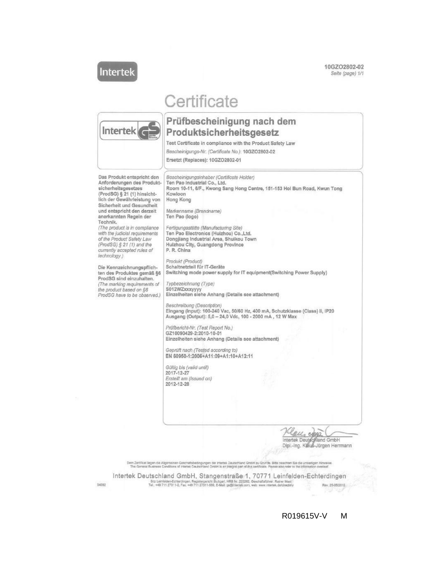Intertek

10GZO2802-02 Seite (page) 1/1

# Certificate



## Prüfbescheinigung nach dem Produktsicherheitsgesetz

Test Certificate in compliance with the Product Safety Law

Bescheinigungs-Nr. (Certificate No.): 10GZO2802-02

Ersetzt (Replaces): 10GZO2802-01



R019615V-V M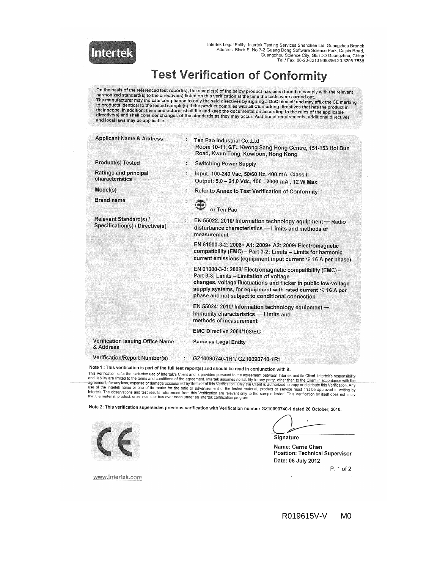

Intertek Legal Entity: Intertek Testing Services Shenzhen Ltd. Guangzhou Branch<br>Address: Block E, No.7-2 Guang Dong Software Science Park, Caipin Road,<br>Guangzhou, Science City, GETDD Guangzhou, China Tel / Fax: 86-20-8213 9688/86-20-3205 7538

# **Test Verification of Conformity**

On the basis of the referenced test report(s), the sample(s) of the below product has been found to comply with the relevant<br>harmonized standard(s) to the directive(s) listed on this verification at the time the tests were their scope. In addition, the manufacturer shall file and keep the documentation according to the rules of the applicable<br>directive(s) and shall consider changes of the standards as they may occur. Additional requirements, and local laws may be applicable.

| <b>Applicant Name &amp; Address</b>                                                       |    | Ten Pao Industrial Co., Ltd<br>Room 10-11, 6/F., Kwong Sang Hong Centre, 151-153 Hoi Bun<br>Road, Kwun Tong, Kowloon, Hong Kong                                                                                                                                                            |
|-------------------------------------------------------------------------------------------|----|--------------------------------------------------------------------------------------------------------------------------------------------------------------------------------------------------------------------------------------------------------------------------------------------|
| <b>Product(s) Tested</b>                                                                  | ÷. | <b>Switching Power Supply</b>                                                                                                                                                                                                                                                              |
| <b>Ratings and principal</b><br>characteristics                                           |    | Input: 100-240 Vac, 50/60 Hz, 400 mA, Class II<br>Output: 5,0 - 24,0 Vdc, 100 - 2000 mA, 12 W Max                                                                                                                                                                                          |
| Model(s)                                                                                  |    | Refer to Annex to Test Verification of Conformity                                                                                                                                                                                                                                          |
| <b>Brand name</b>                                                                         |    | or Ten Pao                                                                                                                                                                                                                                                                                 |
| Relevant Standard(s) /<br>Specification(s) / Directive(s)                                 |    | EN 55022: 2010/ Information technology equipment - Radio<br>disturbance characteristics - Limits and methods of<br>measurement                                                                                                                                                             |
|                                                                                           |    | EN 61000-3-2: 2006+ A1: 2009+ A2: 2009/ Electromagnetic<br>compatibility (EMC) - Part 3-2: Limits - Limits for harmonic<br>current emissions (equipment input current $\leq 16$ A per phase)                                                                                               |
|                                                                                           |    | EN 61000-3-3: 2008/ Electromagnetic compatibility (EMC) -<br>Part 3-3: Limits - Limitation of voltage<br>changes, voltage fluctuations and flicker in public low-voltage<br>supply systems, for equipment with rated current < 16 A per<br>phase and not subject to conditional connection |
|                                                                                           |    | EN 55024: 2010/ Information technology equipment-<br>Immunity characteristics - Limits and<br>methods of measurement                                                                                                                                                                       |
|                                                                                           |    | EMC Directive 2004/108/EC                                                                                                                                                                                                                                                                  |
| <b>Verification Issuing Office Name</b><br>& Address                                      | ×  | Same as Legal Entity                                                                                                                                                                                                                                                                       |
| Verification/Report Number(s)                                                             |    | GZ10090740-1R1/ GZ10090740-1R1                                                                                                                                                                                                                                                             |
| Note 1 $\cdot$ This varification is nort of the full test repeated and should be asset to |    |                                                                                                                                                                                                                                                                                            |

rification is part of the full test report(s) and should be read in conjunction with it.

This Verification is for the exclusive use of Interfek's Client and is provided pursuant to the agreement, there are a in conjunction with the This Verification is for the exclusive use of Interfek's Client and is provided

Note 2: This verification supersedes previous verification with Verification number GZ10090740-1 dated 26 October, 2010.



Signature

 $\cdot$ 

Name: Carrie Chen **Position: Technical Supervisor** Date: 06 July 2012

P. 1 of 2

www.intertek.com

R019615V-V M<sub>0</sub>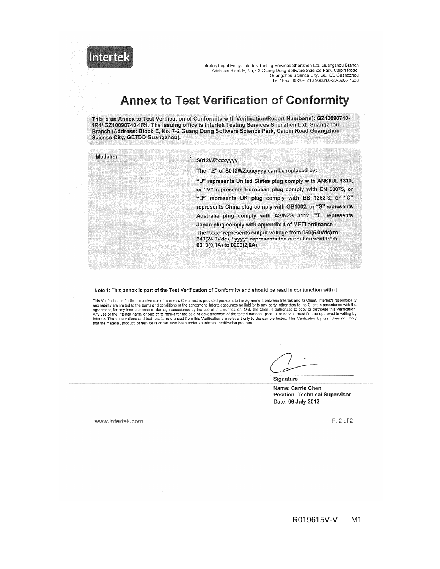Intertek

Intertek Legal Entity: Intertek Testing Services Shenzhen Ltd. Guangzhou Branch<br>Address: Block E, No, 7-2 Guang Dong Software Science Park, Caipin Road, Guangzhou Science City, GETDD Guangzhou<br>Tel / Fax: 86-20-8213 9688/86-20-3205 7538

## **Annex to Test Verification of Conformity**

This is an Annex to Test Verification of Conformity with Verification/Report Number(s): GZ10090740-1R1/ GZ10090740-1R1. The issuing office is Intertek Testing Services Shenzhen Ltd. Guangzhou Branch (Address: Block E, No, 7-2 Guang Dong Software Science Park, Caipin Road Guangzhou Science City, GETDD Guangzhou).

| Model(s) | S012WZxxxyyyy                                                                                                                                   |
|----------|-------------------------------------------------------------------------------------------------------------------------------------------------|
|          | The "Z" of S012WZxxxyyyy can be replaced by:                                                                                                    |
|          | "U" represents United States plug comply with ANSI/UL 1310,                                                                                     |
|          | or "V" represents European plug comply with EN 50075, or                                                                                        |
|          | "B" represents UK plug comply with BS 1363-3, or "C"                                                                                            |
|          | represents China plug comply with GB1002, or "S" represents                                                                                     |
|          | Australia plug comply with AS/NZS 3112. "T" represents                                                                                          |
|          | Japan plug comply with appendix 4 of METI ordinance                                                                                             |
|          | The "xxx" represents output voltage from 050(5,0Vdc) to<br>240(24,0Vdc)," yyyy" represents the output current from<br>0010(0,1A) to 0200(2,0A). |

Note 1: This annex is part of the Test Verification of Conformity and should be read in conjunction with it.

This Verification is for the exclusive use of Intertek's Client and is provided pursuant to the agreement between Intertek and its Client. Intertek's responsibility This Ventration is for the exclusive use of interfers Client and is provided pursuant to the different determed interfers and tability are limited to the terms and conditions of the agreement. Interfer assumes no liability

Signature

Name: Carrie Chen **Position: Technical Supervisor** Date: 06 July 2012

www.intertek.com

P. 2 of 2